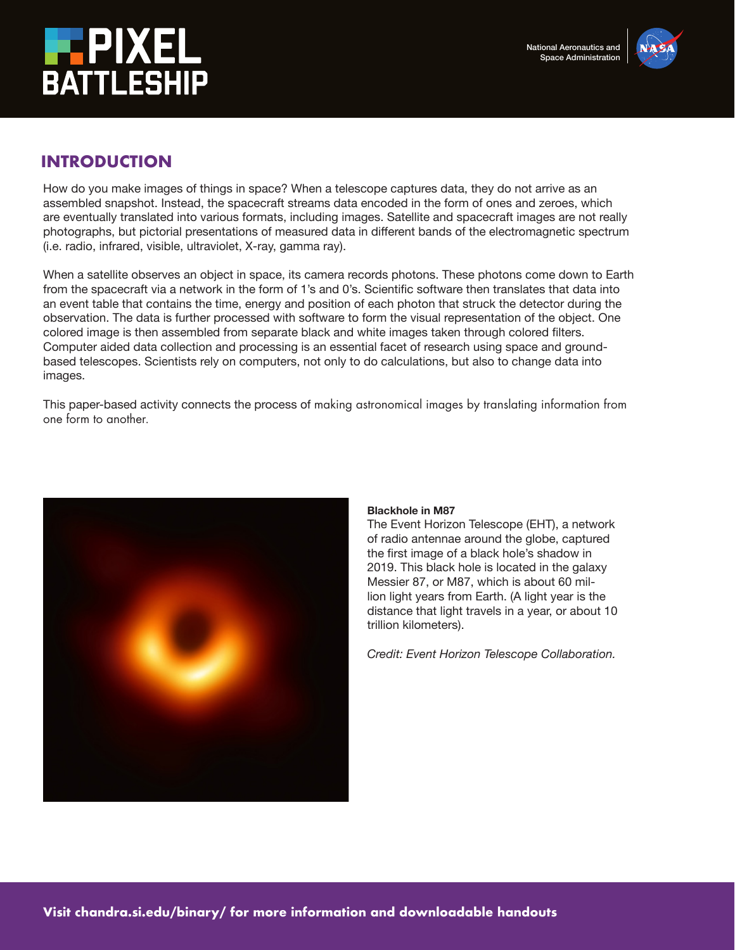



# **INTRODUCTION**

How do you make images of things in space? When a telescope captures data, they do not arrive as an assembled snapshot. Instead, the spacecraft streams data encoded in the form of ones and zeroes, which are eventually translated into various formats, including images. Satellite and spacecraft images are not really photographs, but pictorial presentations of measured data in different bands of the electromagnetic spectrum (i.e. radio, infrared, visible, ultraviolet, X-ray, gamma ray).

When a satellite observes an object in space, its camera records photons. These photons come down to Earth from the spacecraft via a network in the form of 1's and 0's. Scientific software then translates that data into an event table that contains the time, energy and position of each photon that struck the detector during the observation. The data is further processed with software to form the visual representation of the object. One colored image is then assembled from separate black and white images taken through colored filters. Computer aided data collection and processing is an essential facet of research using space and groundbased telescopes. Scientists rely on computers, not only to do calculations, but also to change data into images.

This paper-based activity connects the process of making astronomical images by translating information from one form to another.



### **Blackhole in M87**

The Event Horizon Telescope (EHT), a network of radio antennae around the globe, captured the first image of a black hole's shadow in 2019. This black hole is located in the galaxy Messier 87, or M87, which is about 60 million light years from Earth. (A light year is the distance that light travels in a year, or about 10 trillion kilometers).

*Credit: Event Horizon Telescope Collaboration.*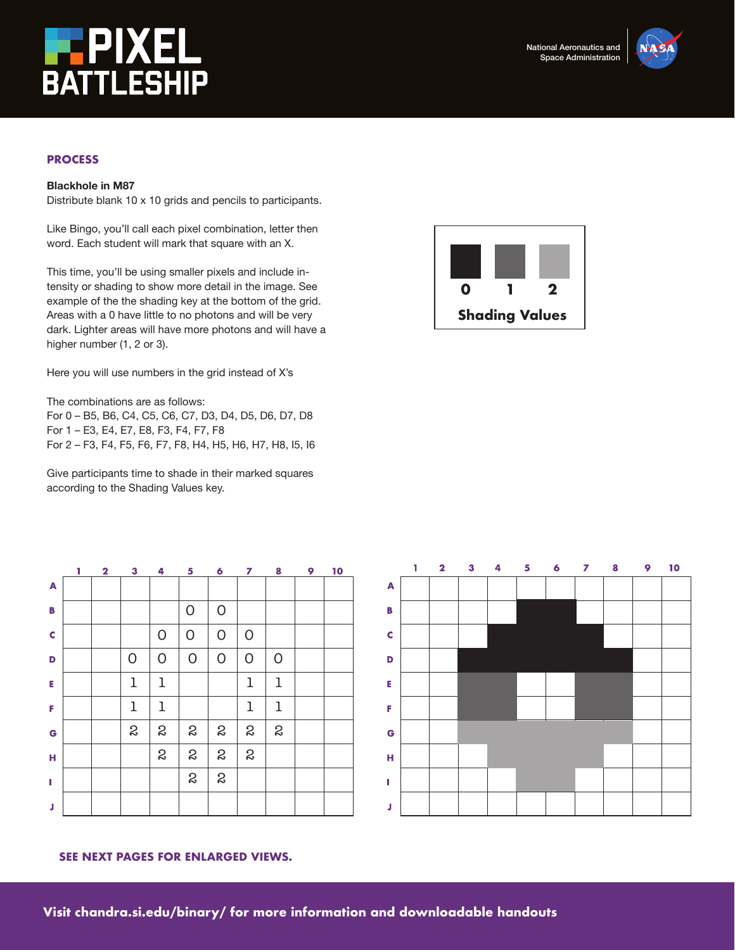



## **PROCESS**

### **Blackhole in M87**

Distribute blank 10 x 10 grids and pencils to participants.

Like Bingo, you'll call each pixel combination, letter then word. Each student will mark that square with an X.

This time, you'll be using smaller pixels and include intensity or shading to show more detail in the image. See example of the the shading key at the bottom of the grid. Areas with a 0 have little to no photons and will be very dark. Lighter areas will have more photons and will have a higher number (1, 2 or 3).

Here you will use numbers in the grid instead of X's

The combinations are as follows:

For 0 – B5, B6, C4, C5, C6, C7, D3, D4, D5, D6, D7, D8 For 1 – E3, E4, E7, E8, F3, F4, F7, F8 For 2 – F3, F4, F5, F6, F7, F8, H4, H5, H6, H7, H8, I5, I6

Give participants time to shade in their marked squares according to the Shading Values key.

|   | T | $\overline{\mathbf{2}}$ | $\mathbf{3}$ | 4                | 5                | $\ddot{\mathbf{6}}$ | 7              | 8            | 9 | 10 |
|---|---|-------------------------|--------------|------------------|------------------|---------------------|----------------|--------------|---|----|
| A |   |                         |              |                  |                  |                     |                |              |   |    |
| В |   |                         |              |                  | 0                | $\mathsf{O}$        |                |              |   |    |
| C |   |                         |              | $\mathsf{O}$     | O                | $\mathsf{O}$        | O              |              |   |    |
| D |   |                         | 0            | $\mathsf{O}$     | $\mathsf{O}$     | $\circ$             | $\overline{O}$ | $\mathsf{O}$ |   |    |
| E |   |                         | 1            | 1                |                  |                     | $\mathbf 1$    | 1            |   |    |
| F |   |                         | l            | 1                |                  |                     | 1              | 1            |   |    |
| G |   |                         | S            | S                | S                | S                   | S              | S            |   |    |
| н |   |                         |              | $\boldsymbol{S}$ | $\boldsymbol{S}$ | S                   | S              |              |   |    |
| L |   |                         |              |                  | $\boldsymbol{S}$ | S                   |                |              |   |    |
| J |   |                         |              |                  |                  |                     |                |              |   |    |



### **SEE NEXT PAGES FOR ENLARGED VIEWS.**